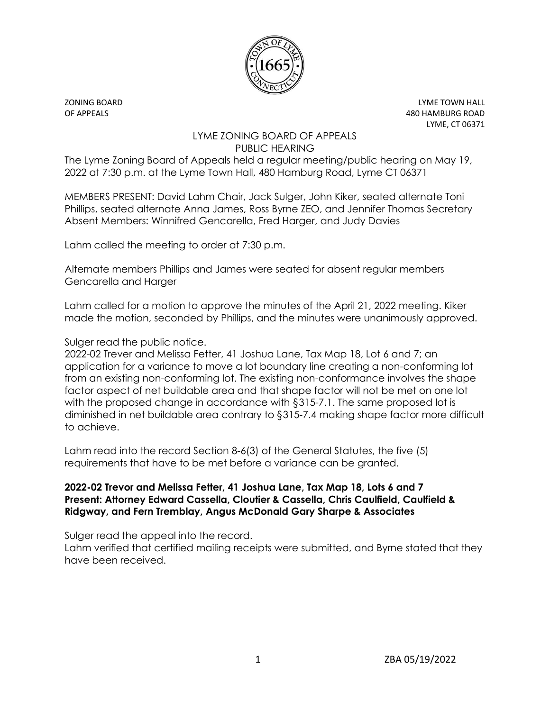

ZONING BOARD LYME TOWN HALL OF APPEALS 480 HAMBURG ROAD LYME, CT 06371

## LYME ZONING BOARD OF APPEALS PUBLIC HEARING

The Lyme Zoning Board of Appeals held a regular meeting/public hearing on May 19, 2022 at 7:30 p.m. at the Lyme Town Hall, 480 Hamburg Road, Lyme CT 06371

MEMBERS PRESENT: David Lahm Chair, Jack Sulger, John Kiker, seated alternate Toni Phillips, seated alternate Anna James, Ross Byrne ZEO, and Jennifer Thomas Secretary Absent Members: Winnifred Gencarella, Fred Harger, and Judy Davies

Lahm called the meeting to order at 7:30 p.m.

Alternate members Phillips and James were seated for absent regular members Gencarella and Harger

Lahm called for a motion to approve the minutes of the April 21, 2022 meeting. Kiker made the motion, seconded by Phillips, and the minutes were unanimously approved.

Sulger read the public notice.

2022-02 Trever and Melissa Fetter, 41 Joshua Lane, Tax Map 18, Lot 6 and 7; an application for a variance to move a lot boundary line creating a non-conforming lot from an existing non-conforming lot. The existing non-conformance involves the shape factor aspect of net buildable area and that shape factor will not be met on one lot with the proposed change in accordance with §315-7.1. The same proposed lot is diminished in net buildable area contrary to §315-7.4 making shape factor more difficult to achieve.

Lahm read into the record Section 8-6(3) of the General Statutes, the five (5) requirements that have to be met before a variance can be granted.

## **2022-02 Trevor and Melissa Fetter, 41 Joshua Lane, Tax Map 18, Lots 6 and 7 Present: Attorney Edward Cassella, Cloutier & Cassella, Chris Caulfield, Caulfield & Ridgway, and Fern Tremblay, Angus McDonald Gary Sharpe & Associates**

Sulger read the appeal into the record.

Lahm verified that certified mailing receipts were submitted, and Byrne stated that they have been received.